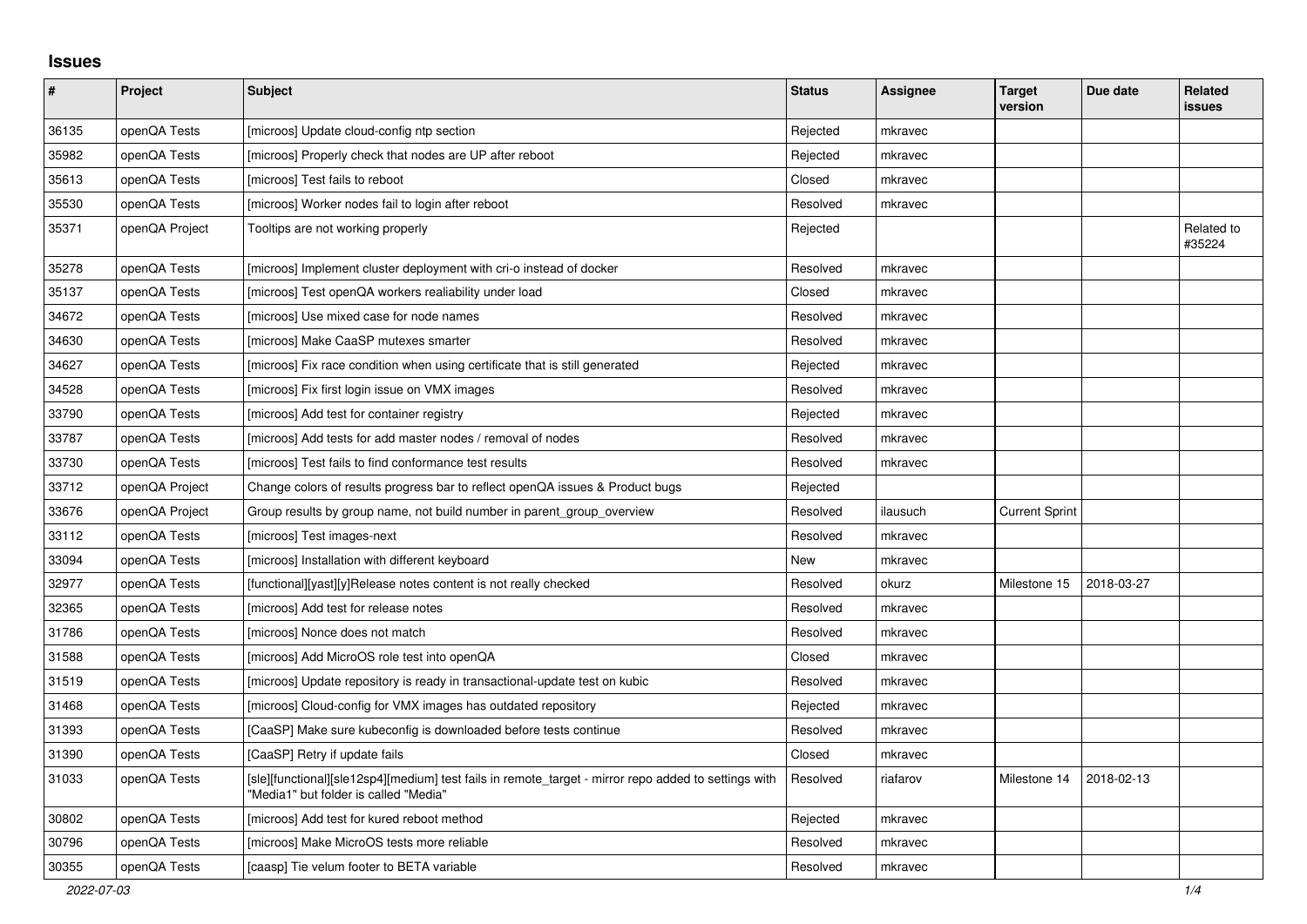## **Issues**

| $\pmb{\#}$ | Project        | <b>Subject</b>                                                                                                                                | <b>Status</b> | <b>Assignee</b> | <b>Target</b><br>version | Due date   | Related<br>issues    |
|------------|----------------|-----------------------------------------------------------------------------------------------------------------------------------------------|---------------|-----------------|--------------------------|------------|----------------------|
| 36135      | openQA Tests   | [microos] Update cloud-config ntp section                                                                                                     | Rejected      | mkravec         |                          |            |                      |
| 35982      | openQA Tests   | [microos] Properly check that nodes are UP after reboot                                                                                       | Rejected      | mkravec         |                          |            |                      |
| 35613      | openQA Tests   | [microos] Test fails to reboot                                                                                                                | Closed        | mkravec         |                          |            |                      |
| 35530      | openQA Tests   | [microos] Worker nodes fail to login after reboot                                                                                             | Resolved      | mkravec         |                          |            |                      |
| 35371      | openQA Project | Tooltips are not working properly                                                                                                             | Rejected      |                 |                          |            | Related to<br>#35224 |
| 35278      | openQA Tests   | [microos] Implement cluster deployment with cri-o instead of docker                                                                           | Resolved      | mkravec         |                          |            |                      |
| 35137      | openQA Tests   | [microos] Test openQA workers realiability under load                                                                                         | Closed        | mkravec         |                          |            |                      |
| 34672      | openQA Tests   | [microos] Use mixed case for node names                                                                                                       | Resolved      | mkravec         |                          |            |                      |
| 34630      | openQA Tests   | [microos] Make CaaSP mutexes smarter                                                                                                          | Resolved      | mkravec         |                          |            |                      |
| 34627      | openQA Tests   | [microos] Fix race condition when using certificate that is still generated                                                                   | Rejected      | mkravec         |                          |            |                      |
| 34528      | openQA Tests   | [microos] Fix first login issue on VMX images                                                                                                 | Resolved      | mkravec         |                          |            |                      |
| 33790      | openQA Tests   | [microos] Add test for container registry                                                                                                     | Rejected      | mkravec         |                          |            |                      |
| 33787      | openQA Tests   | [microos] Add tests for add master nodes / removal of nodes                                                                                   | Resolved      | mkravec         |                          |            |                      |
| 33730      | openQA Tests   | [microos] Test fails to find conformance test results                                                                                         | Resolved      | mkravec         |                          |            |                      |
| 33712      | openQA Project | Change colors of results progress bar to reflect openQA issues & Product bugs                                                                 | Rejected      |                 |                          |            |                      |
| 33676      | openQA Project | Group results by group name, not build number in parent group overview                                                                        | Resolved      | ilausuch        | <b>Current Sprint</b>    |            |                      |
| 33112      | openQA Tests   | [microos] Test images-next                                                                                                                    | Resolved      | mkravec         |                          |            |                      |
| 33094      | openQA Tests   | [microos] Installation with different keyboard                                                                                                | New           | mkravec         |                          |            |                      |
| 32977      | openQA Tests   | [functional][yast][y]Release notes content is not really checked                                                                              | Resolved      | okurz           | Milestone 15             | 2018-03-27 |                      |
| 32365      | openQA Tests   | [microos] Add test for release notes                                                                                                          | Resolved      | mkravec         |                          |            |                      |
| 31786      | openQA Tests   | [microos] Nonce does not match                                                                                                                | Resolved      | mkravec         |                          |            |                      |
| 31588      | openQA Tests   | [microos] Add MicroOS role test into openQA                                                                                                   | Closed        | mkravec         |                          |            |                      |
| 31519      | openQA Tests   | [microos] Update repository is ready in transactional-update test on kubic                                                                    | Resolved      | mkravec         |                          |            |                      |
| 31468      | openQA Tests   | [microos] Cloud-config for VMX images has outdated repository                                                                                 | Rejected      | mkravec         |                          |            |                      |
| 31393      | openQA Tests   | [CaaSP] Make sure kubeconfig is downloaded before tests continue                                                                              | Resolved      | mkravec         |                          |            |                      |
| 31390      | openQA Tests   | [CaaSP] Retry if update fails                                                                                                                 | Closed        | mkravec         |                          |            |                      |
| 31033      | openQA Tests   | [sle][functional][sle12sp4][medium] test fails in remote_target - mirror repo added to settings with<br>"Media1" but folder is called "Media" | Resolved      | riafarov        | Milestone 14             | 2018-02-13 |                      |
| 30802      | openQA Tests   | [microos] Add test for kured reboot method                                                                                                    | Rejected      | mkravec         |                          |            |                      |
| 30796      | openQA Tests   | [microos] Make MicroOS tests more reliable                                                                                                    | Resolved      | mkravec         |                          |            |                      |
| 30355      | openQA Tests   | [caasp] Tie velum footer to BETA variable                                                                                                     | Resolved      | mkravec         |                          |            |                      |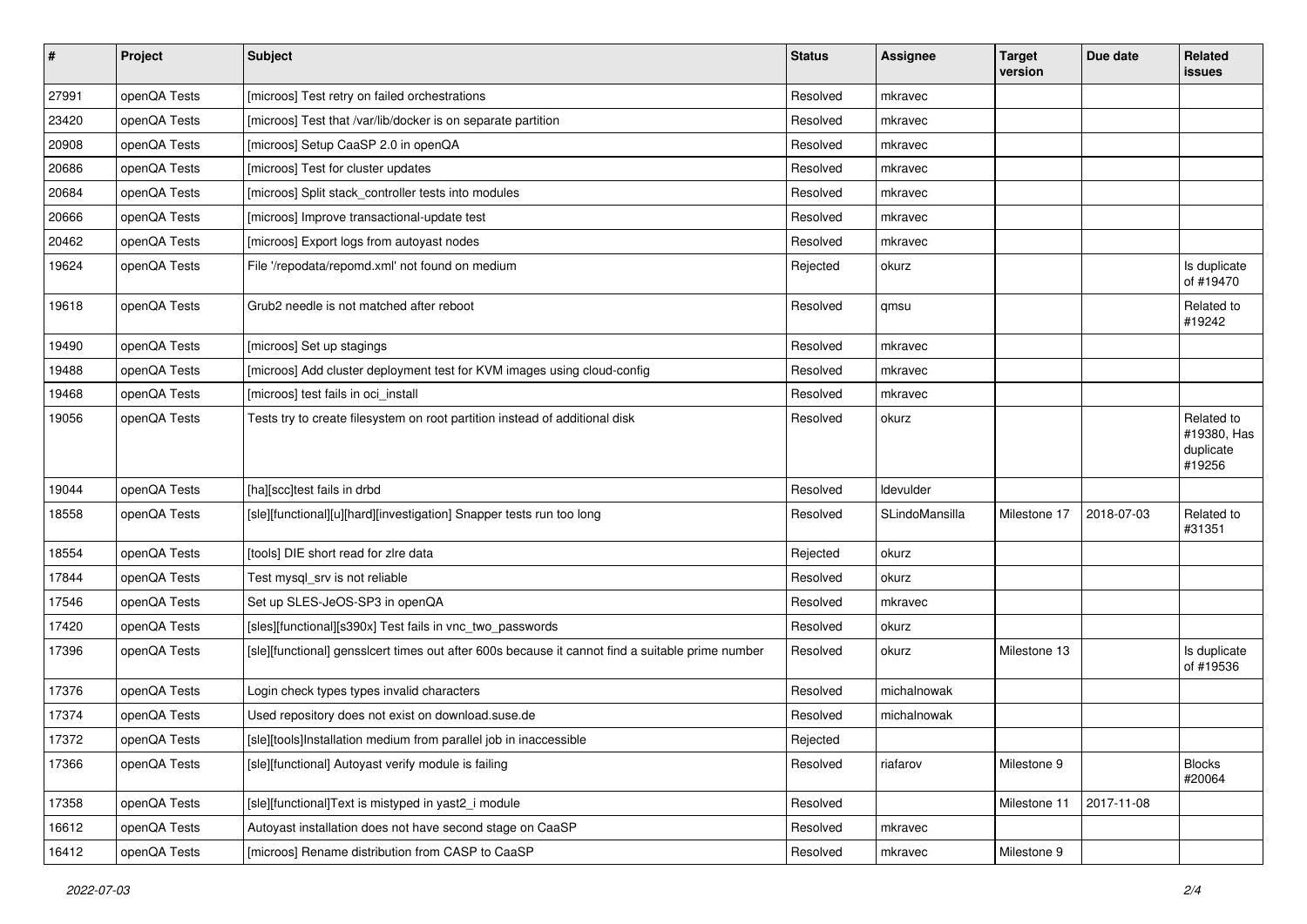| $\pmb{\#}$ | Project      | <b>Subject</b>                                                                                   | <b>Status</b> | <b>Assignee</b> | <b>Target</b><br>version | Due date   | Related<br>issues                                |
|------------|--------------|--------------------------------------------------------------------------------------------------|---------------|-----------------|--------------------------|------------|--------------------------------------------------|
| 27991      | openQA Tests | [microos] Test retry on failed orchestrations                                                    | Resolved      | mkravec         |                          |            |                                                  |
| 23420      | openQA Tests | [microos] Test that /var/lib/docker is on separate partition                                     | Resolved      | mkravec         |                          |            |                                                  |
| 20908      | openQA Tests | [microos] Setup CaaSP 2.0 in openQA                                                              | Resolved      | mkravec         |                          |            |                                                  |
| 20686      | openQA Tests | [microos] Test for cluster updates                                                               | Resolved      | mkravec         |                          |            |                                                  |
| 20684      | openQA Tests | [microos] Split stack_controller tests into modules                                              | Resolved      | mkravec         |                          |            |                                                  |
| 20666      | openQA Tests | [microos] Improve transactional-update test                                                      | Resolved      | mkravec         |                          |            |                                                  |
| 20462      | openQA Tests | [microos] Export logs from autoyast nodes                                                        | Resolved      | mkravec         |                          |            |                                                  |
| 19624      | openQA Tests | File '/repodata/repomd.xml' not found on medium                                                  | Rejected      | okurz           |                          |            | Is duplicate<br>of #19470                        |
| 19618      | openQA Tests | Grub2 needle is not matched after reboot                                                         | Resolved      | qmsu            |                          |            | Related to<br>#19242                             |
| 19490      | openQA Tests | [microos] Set up stagings                                                                        | Resolved      | mkravec         |                          |            |                                                  |
| 19488      | openQA Tests | [microos] Add cluster deployment test for KVM images using cloud-config                          | Resolved      | mkravec         |                          |            |                                                  |
| 19468      | openQA Tests | [microos] test fails in oci_install                                                              | Resolved      | mkravec         |                          |            |                                                  |
| 19056      | openQA Tests | Tests try to create filesystem on root partition instead of additional disk                      | Resolved      | okurz           |                          |            | Related to<br>#19380, Has<br>duplicate<br>#19256 |
| 19044      | openQA Tests | [ha][scc]test fails in drbd                                                                      | Resolved      | Idevulder       |                          |            |                                                  |
| 18558      | openQA Tests | [sle][functional][u][hard][investigation] Snapper tests run too long                             | Resolved      | SLindoMansilla  | Milestone 17             | 2018-07-03 | Related to<br>#31351                             |
| 18554      | openQA Tests | [tools] DIE short read for zire data                                                             | Rejected      | okurz           |                          |            |                                                  |
| 17844      | openQA Tests | Test mysql_srv is not reliable                                                                   | Resolved      | okurz           |                          |            |                                                  |
| 17546      | openQA Tests | Set up SLES-JeOS-SP3 in openQA                                                                   | Resolved      | mkravec         |                          |            |                                                  |
| 17420      | openQA Tests | [sles][functional][s390x] Test fails in vnc_two_passwords                                        | Resolved      | okurz           |                          |            |                                                  |
| 17396      | openQA Tests | [sle][functional] gensslcert times out after 600s because it cannot find a suitable prime number | Resolved      | okurz           | Milestone 13             |            | Is duplicate<br>of #19536                        |
| 17376      | openQA Tests | Login check types types invalid characters                                                       | Resolved      | michalnowak     |                          |            |                                                  |
| 17374      | openQA Tests | Used repository does not exist on download.suse.de                                               | Resolved      | michalnowak     |                          |            |                                                  |
| 17372      | openQA Tests | [sle][tools]Installation medium from parallel job in inaccessible                                | Rejected      |                 |                          |            |                                                  |
| 17366      | openQA Tests | [sle][functional] Autovast verify module is failing                                              | Resolved      | riafarov        | Milestone 9              |            | <b>Blocks</b><br>#20064                          |
| 17358      | openQA Tests | [sle][functional]Text is mistyped in yast2_i module                                              | Resolved      |                 | Milestone 11             | 2017-11-08 |                                                  |
| 16612      | openQA Tests | Autoyast installation does not have second stage on CaaSP                                        | Resolved      | mkravec         |                          |            |                                                  |
| 16412      | openQA Tests | [microos] Rename distribution from CASP to CaaSP                                                 | Resolved      | mkravec         | Milestone 9              |            |                                                  |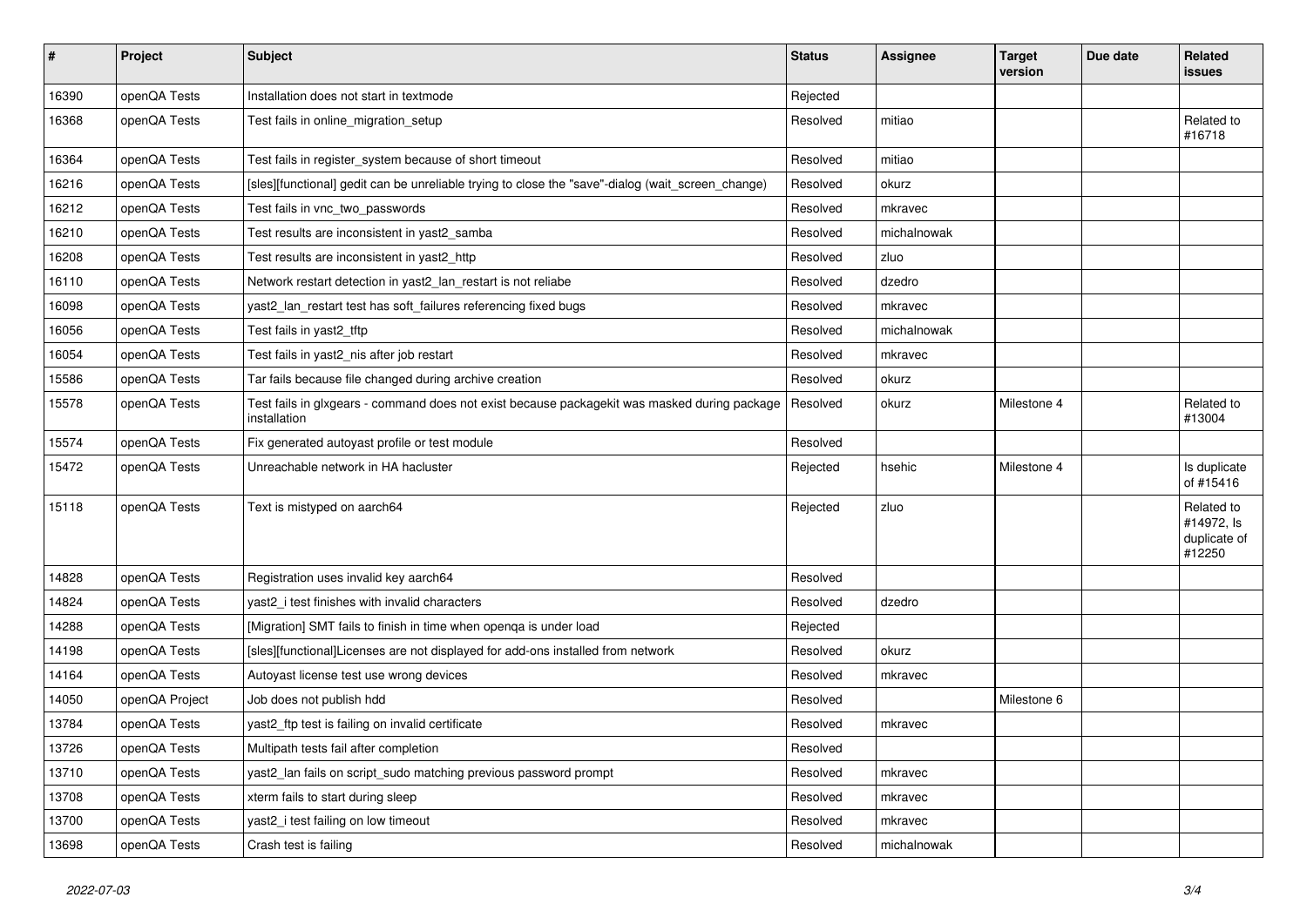| $\vert$ # | Project        | <b>Subject</b>                                                                                               | <b>Status</b> | <b>Assignee</b> | Target<br>version | Due date | Related<br>issues                                  |
|-----------|----------------|--------------------------------------------------------------------------------------------------------------|---------------|-----------------|-------------------|----------|----------------------------------------------------|
| 16390     | openQA Tests   | Installation does not start in textmode                                                                      | Rejected      |                 |                   |          |                                                    |
| 16368     | openQA Tests   | Test fails in online migration setup                                                                         | Resolved      | mitiao          |                   |          | Related to<br>#16718                               |
| 16364     | openQA Tests   | Test fails in register_system because of short timeout                                                       | Resolved      | mitiao          |                   |          |                                                    |
| 16216     | openQA Tests   | [sles][functional] gedit can be unreliable trying to close the "save"-dialog (wait_screen_change)            | Resolved      | okurz           |                   |          |                                                    |
| 16212     | openQA Tests   | Test fails in vnc_two_passwords                                                                              | Resolved      | mkravec         |                   |          |                                                    |
| 16210     | openQA Tests   | Test results are inconsistent in yast2 samba                                                                 | Resolved      | michalnowak     |                   |          |                                                    |
| 16208     | openQA Tests   | Test results are inconsistent in yast2 http                                                                  | Resolved      | zluo            |                   |          |                                                    |
| 16110     | openQA Tests   | Network restart detection in yast2_lan_restart is not reliabe                                                | Resolved      | dzedro          |                   |          |                                                    |
| 16098     | openQA Tests   | yast2_lan_restart test has soft_failures referencing fixed bugs                                              | Resolved      | mkravec         |                   |          |                                                    |
| 16056     | openQA Tests   | Test fails in yast2_tftp                                                                                     | Resolved      | michalnowak     |                   |          |                                                    |
| 16054     | openQA Tests   | Test fails in yast2_nis after job restart                                                                    | Resolved      | mkravec         |                   |          |                                                    |
| 15586     | openQA Tests   | Tar fails because file changed during archive creation                                                       | Resolved      | okurz           |                   |          |                                                    |
| 15578     | openQA Tests   | Test fails in glxgears - command does not exist because packagekit was masked during package<br>installation | Resolved      | okurz           | Milestone 4       |          | Related to<br>#13004                               |
| 15574     | openQA Tests   | Fix generated autoyast profile or test module                                                                | Resolved      |                 |                   |          |                                                    |
| 15472     | openQA Tests   | Unreachable network in HA hacluster                                                                          | Rejected      | hsehic          | Milestone 4       |          | Is duplicate<br>of #15416                          |
| 15118     | openQA Tests   | Text is mistyped on aarch64                                                                                  | Rejected      | zluo            |                   |          | Related to<br>#14972, Is<br>duplicate of<br>#12250 |
| 14828     | openQA Tests   | Registration uses invalid key aarch64                                                                        | Resolved      |                 |                   |          |                                                    |
| 14824     | openQA Tests   | yast2 i test finishes with invalid characters                                                                | Resolved      | dzedro          |                   |          |                                                    |
| 14288     | openQA Tests   | [Migration] SMT fails to finish in time when openga is under load                                            | Rejected      |                 |                   |          |                                                    |
| 14198     | openQA Tests   | [sles][functional]Licenses are not displayed for add-ons installed from network                              | Resolved      | okurz           |                   |          |                                                    |
| 14164     | openQA Tests   | Autoyast license test use wrong devices                                                                      | Resolved      | mkravec         |                   |          |                                                    |
| 14050     | openQA Project | Job does not publish hdd                                                                                     | Resolved      |                 | Milestone 6       |          |                                                    |
| 13784     | openQA Tests   | yast2_ftp test is failing on invalid certificate                                                             | Resolved      | mkravec         |                   |          |                                                    |
| 13726     | openQA Tests   | Multipath tests fail after completion                                                                        | Resolved      |                 |                   |          |                                                    |
| 13710     | openQA Tests   | yast2_lan fails on script_sudo matching previous password prompt                                             | Resolved      | mkravec         |                   |          |                                                    |
| 13708     | openQA Tests   | xterm fails to start during sleep                                                                            | Resolved      | mkravec         |                   |          |                                                    |
| 13700     | openQA Tests   | yast2_i test failing on low timeout                                                                          | Resolved      | mkravec         |                   |          |                                                    |
| 13698     | openQA Tests   | Crash test is failing                                                                                        | Resolved      | michalnowak     |                   |          |                                                    |